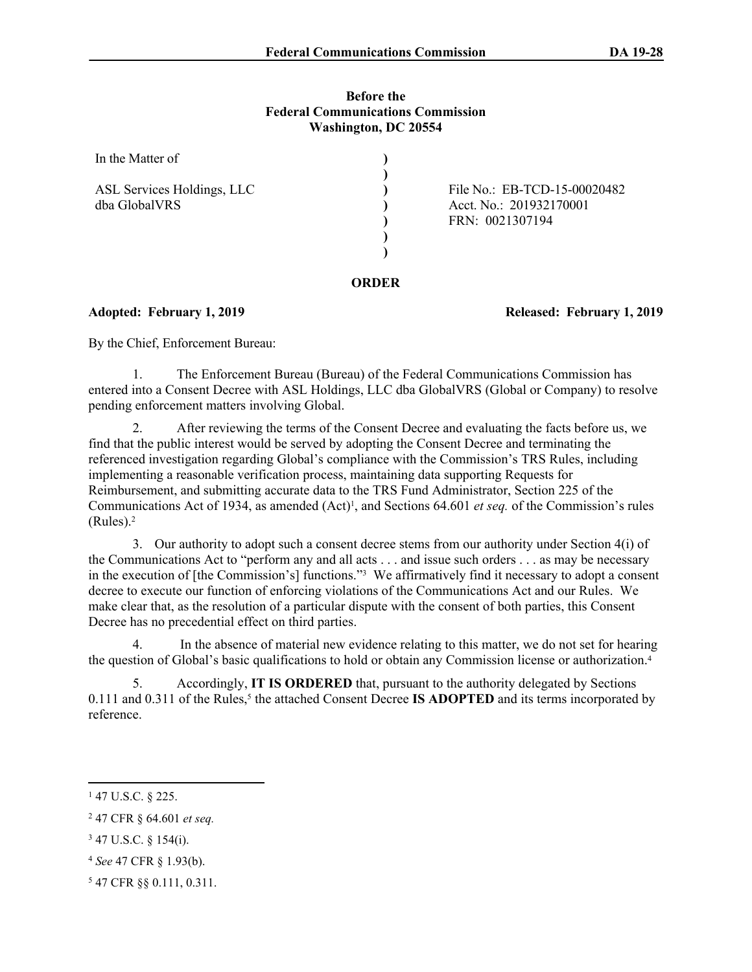### **Before the Federal Communications Commission Washington, DC 20554**

| In the Matter of                            |  |                                                                            |  |  |
|---------------------------------------------|--|----------------------------------------------------------------------------|--|--|
| ASL Services Holdings, LLC<br>dba GlobalVRS |  | File No.: EB-TCD-15-00020482<br>Acct. No.: 201932170001<br>FRN: 0021307194 |  |  |
| ORDER                                       |  |                                                                            |  |  |

## **Adopted: February 1, 2019 Released: February 1, 2019**

By the Chief, Enforcement Bureau:

1. The Enforcement Bureau (Bureau) of the Federal Communications Commission has entered into a Consent Decree with ASL Holdings, LLC dba GlobalVRS (Global or Company) to resolve pending enforcement matters involving Global.

2. After reviewing the terms of the Consent Decree and evaluating the facts before us, we find that the public interest would be served by adopting the Consent Decree and terminating the referenced investigation regarding Global's compliance with the Commission's TRS Rules, including implementing a reasonable verification process, maintaining data supporting Requests for Reimbursement, and submitting accurate data to the TRS Fund Administrator, Section 225 of the Communications Act of 1934, as amended (Act)<sup>1</sup>, and Sections 64.601 *et seq.* of the Commission's rules (Rules).<sup>2</sup>

3. Our authority to adopt such a consent decree stems from our authority under Section 4(i) of the Communications Act to "perform any and all acts . . . and issue such orders . . . as may be necessary in the execution of [the Commission's] functions."<sup>3</sup> We affirmatively find it necessary to adopt a consent decree to execute our function of enforcing violations of the Communications Act and our Rules. We make clear that, as the resolution of a particular dispute with the consent of both parties, this Consent Decree has no precedential effect on third parties.

In the absence of material new evidence relating to this matter, we do not set for hearing the question of Global's basic qualifications to hold or obtain any Commission license or authorization.<sup>4</sup>

5. Accordingly, **IT IS ORDERED** that, pursuant to the authority delegated by Sections 0.111 and 0.311 of the Rules,<sup>5</sup> the attached Consent Decree **IS ADOPTED** and its terms incorporated by reference.

<sup>1</sup> 47 U.S.C. § 225.

<sup>2</sup> 47 CFR § 64.601 *et seq.*

<sup>3</sup> 47 U.S.C. § 154(i).

<sup>4</sup> *See* 47 CFR § 1.93(b).

<sup>5</sup> 47 CFR §§ 0.111, 0.311.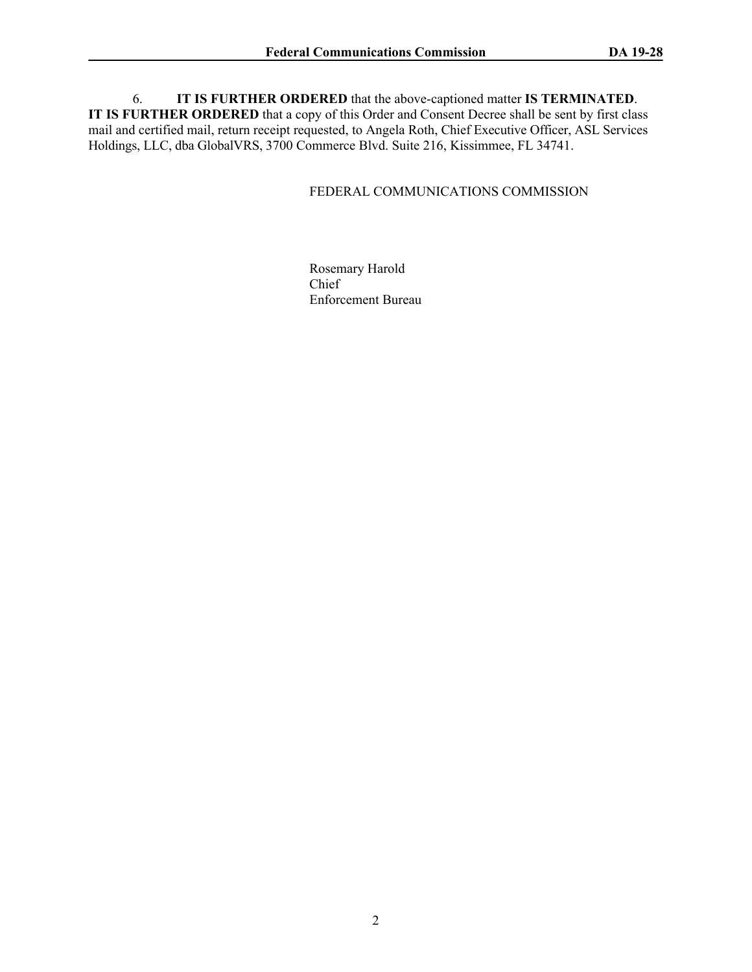6. **IT IS FURTHER ORDERED** that the above-captioned matter **IS TERMINATED**. **IT IS FURTHER ORDERED** that a copy of this Order and Consent Decree shall be sent by first class mail and certified mail, return receipt requested, to Angela Roth, Chief Executive Officer, ASL Services Holdings, LLC, dba GlobalVRS, 3700 Commerce Blvd. Suite 216, Kissimmee, FL 34741.

# FEDERAL COMMUNICATIONS COMMISSION

Rosemary Harold Chief Enforcement Bureau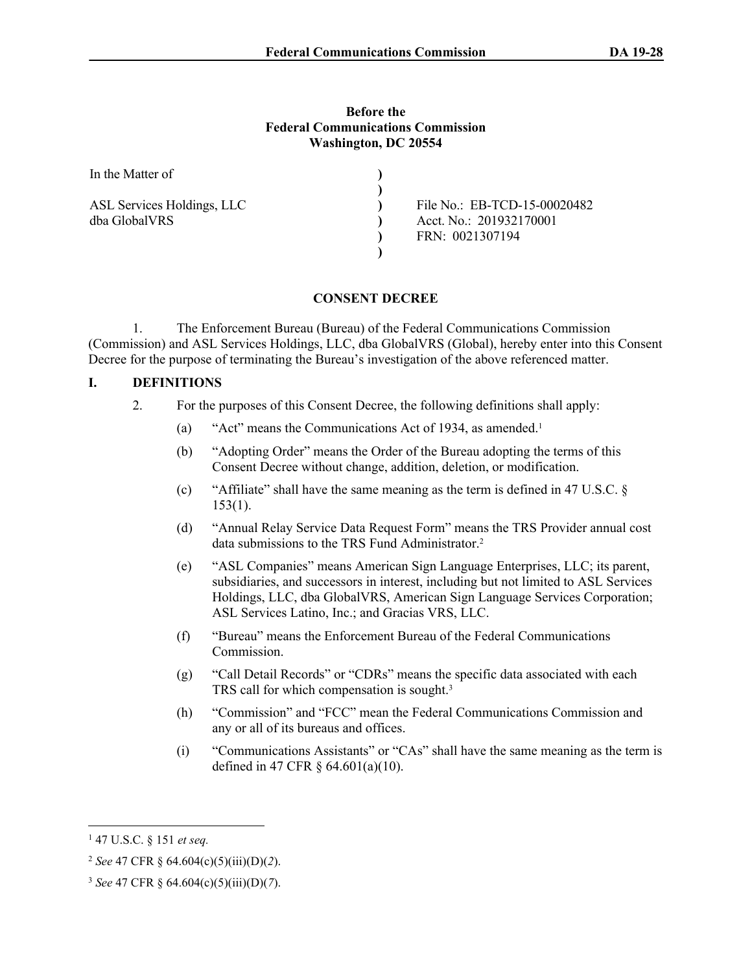#### **Before the Federal Communications Commission Washington, DC 20554**

| In the Matter of           |                              |
|----------------------------|------------------------------|
| ASL Services Holdings, LLC | File No.: EB-TCD-15-00020482 |
| dba GlobalVRS              | Acct. No.: 201932170001      |
|                            | FRN: 0021307194              |
|                            |                              |

### **CONSENT DECREE**

1. The Enforcement Bureau (Bureau) of the Federal Communications Commission (Commission) and ASL Services Holdings, LLC, dba GlobalVRS (Global), hereby enter into this Consent Decree for the purpose of terminating the Bureau's investigation of the above referenced matter.

### **I. DEFINITIONS**

- 2. For the purposes of this Consent Decree, the following definitions shall apply:
	- (a) "Act" means the Communications Act of 1934, as amended.<sup>1</sup>
	- (b) "Adopting Order" means the Order of the Bureau adopting the terms of this Consent Decree without change, addition, deletion, or modification.
	- (c) "Affiliate" shall have the same meaning as the term is defined in 47 U.S.C. § 153(1).
	- (d) "Annual Relay Service Data Request Form" means the TRS Provider annual cost data submissions to the TRS Fund Administrator.<sup>2</sup>
	- (e) "ASL Companies" means American Sign Language Enterprises, LLC; its parent, subsidiaries, and successors in interest, including but not limited to ASL Services Holdings, LLC, dba GlobalVRS, American Sign Language Services Corporation; ASL Services Latino, Inc.; and Gracias VRS, LLC.
	- (f) "Bureau" means the Enforcement Bureau of the Federal Communications Commission.
	- (g) "Call Detail Records" or "CDRs" means the specific data associated with each TRS call for which compensation is sought.<sup>3</sup>
	- (h) "Commission" and "FCC" mean the Federal Communications Commission and any or all of its bureaus and offices.
	- (i) "Communications Assistants" or "CAs" shall have the same meaning as the term is defined in 47 CFR § 64.601(a)(10).

<sup>1</sup> 47 U.S.C. § 151 *et seq.*

<sup>2</sup> *See* 47 CFR § 64.604(c)(5)(iii)(D)(*2*).

<sup>3</sup> *See* 47 CFR § 64.604(c)(5)(iii)(D)(*7*).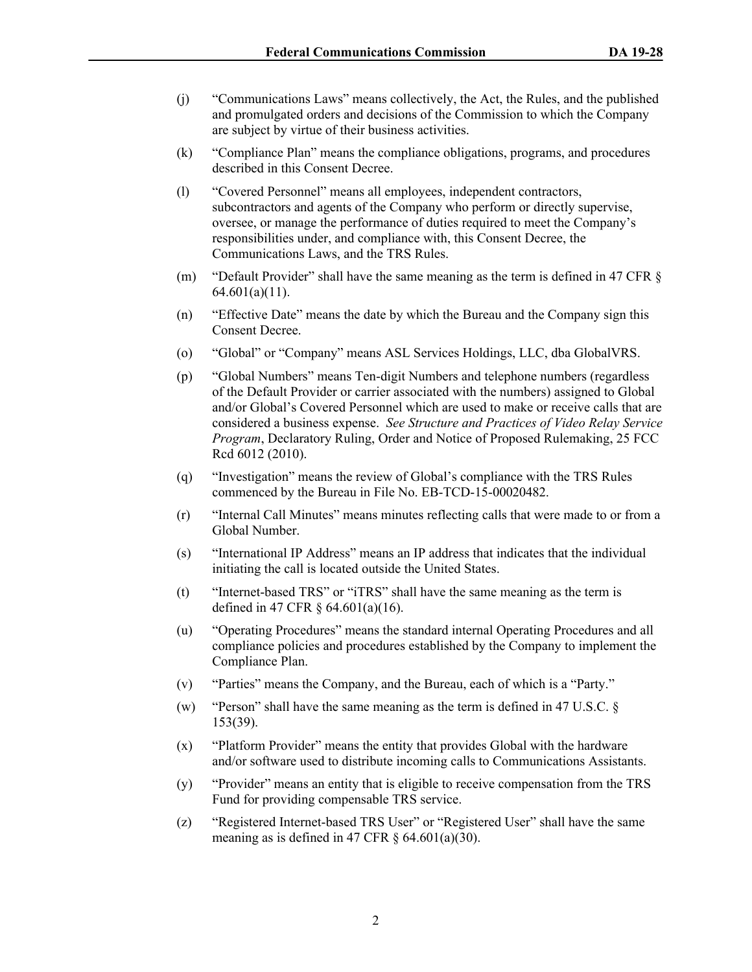- (j) "Communications Laws" means collectively, the Act, the Rules, and the published and promulgated orders and decisions of the Commission to which the Company are subject by virtue of their business activities.
- (k) "Compliance Plan" means the compliance obligations, programs, and procedures described in this Consent Decree.
- (l) "Covered Personnel" means all employees, independent contractors, subcontractors and agents of the Company who perform or directly supervise, oversee, or manage the performance of duties required to meet the Company's responsibilities under, and compliance with, this Consent Decree, the Communications Laws, and the TRS Rules.
- (m) "Default Provider" shall have the same meaning as the term is defined in 47 CFR § 64.601(a)(11).
- (n) "Effective Date" means the date by which the Bureau and the Company sign this Consent Decree.
- (o) "Global" or "Company" means ASL Services Holdings, LLC, dba GlobalVRS.
- (p) "Global Numbers" means Ten-digit Numbers and telephone numbers (regardless of the Default Provider or carrier associated with the numbers) assigned to Global and/or Global's Covered Personnel which are used to make or receive calls that are considered a business expense. *See Structure and Practices of Video Relay Service Program*, Declaratory Ruling, Order and Notice of Proposed Rulemaking, 25 FCC Rcd 6012 (2010).
- (q) "Investigation" means the review of Global's compliance with the TRS Rules commenced by the Bureau in File No. EB-TCD-15-00020482.
- (r) "Internal Call Minutes" means minutes reflecting calls that were made to or from a Global Number.
- (s) "International IP Address" means an IP address that indicates that the individual initiating the call is located outside the United States.
- (t) "Internet-based TRS" or "iTRS" shall have the same meaning as the term is defined in 47 CFR § 64.601(a)(16).
- (u) "Operating Procedures" means the standard internal Operating Procedures and all compliance policies and procedures established by the Company to implement the Compliance Plan.
- (v) "Parties" means the Company, and the Bureau, each of which is a "Party."
- (w) "Person" shall have the same meaning as the term is defined in 47 U.S.C. § 153(39).
- (x) "Platform Provider" means the entity that provides Global with the hardware and/or software used to distribute incoming calls to Communications Assistants.
- (y) "Provider" means an entity that is eligible to receive compensation from the TRS Fund for providing compensable TRS service.
- (z) "Registered Internet-based TRS User" or "Registered User" shall have the same meaning as is defined in 47 CFR  $\S$  64.601(a)(30).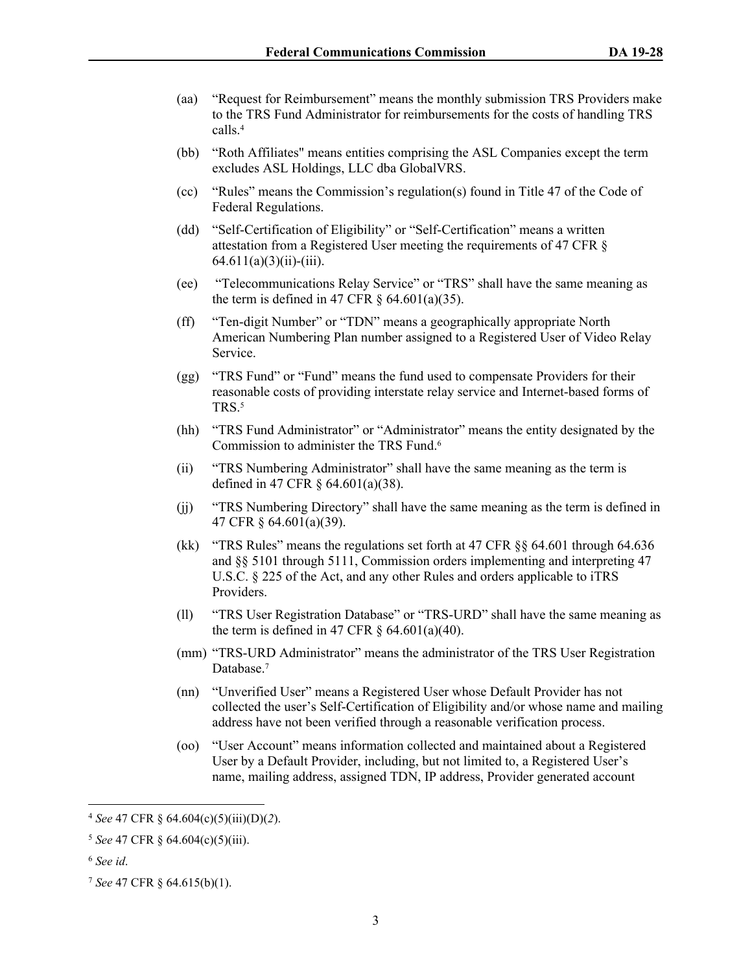- (aa) "Request for Reimbursement" means the monthly submission TRS Providers make to the TRS Fund Administrator for reimbursements for the costs of handling TRS calls.<sup>4</sup>
- (bb) "Roth Affiliates" means entities comprising the ASL Companies except the term excludes ASL Holdings, LLC dba GlobalVRS.
- (cc) "Rules" means the Commission's regulation(s) found in Title 47 of the Code of Federal Regulations.
- (dd) "Self-Certification of Eligibility" or "Self-Certification" means a written attestation from a Registered User meeting the requirements of 47 CFR §  $64.611(a)(3)(ii)$ -(iii).
- (ee) "Telecommunications Relay Service" or "TRS" shall have the same meaning as the term is defined in 47 CFR  $\S$  64.601(a)(35).
- (ff) "Ten-digit Number" or "TDN" means a geographically appropriate North American Numbering Plan number assigned to a Registered User of Video Relay Service.
- (gg) "TRS Fund" or "Fund" means the fund used to compensate Providers for their reasonable costs of providing interstate relay service and Internet-based forms of TRS.<sup>5</sup>
- (hh) "TRS Fund Administrator" or "Administrator" means the entity designated by the Commission to administer the TRS Fund.<sup>6</sup>
- (ii) "TRS Numbering Administrator" shall have the same meaning as the term is defined in 47 CFR § 64.601(a)(38).
- (jj) "TRS Numbering Directory" shall have the same meaning as the term is defined in 47 CFR § 64.601(a)(39).
- (kk) "TRS Rules" means the regulations set forth at 47 CFR §§ 64.601 through 64.636 and §§ 5101 through 5111, Commission orders implementing and interpreting 47 U.S.C. § 225 of the Act, and any other Rules and orders applicable to iTRS Providers.
- (ll) "TRS User Registration Database" or "TRS-URD" shall have the same meaning as the term is defined in 47 CFR  $\S$  64.601(a)(40).
- (mm) "TRS-URD Administrator" means the administrator of the TRS User Registration Database.<sup>7</sup>
- (nn) "Unverified User" means a Registered User whose Default Provider has not collected the user's Self-Certification of Eligibility and/or whose name and mailing address have not been verified through a reasonable verification process.
- (oo) "User Account" means information collected and maintained about a Registered User by a Default Provider, including, but not limited to, a Registered User's name, mailing address, assigned TDN, IP address, Provider generated account

<sup>4</sup> *See* 47 CFR § 64.604(c)(5)(iii)(D)(*2*).

<sup>5</sup> *See* 47 CFR § 64.604(c)(5)(iii).

<sup>6</sup> *See id*.

<sup>7</sup> *See* 47 CFR § 64.615(b)(1).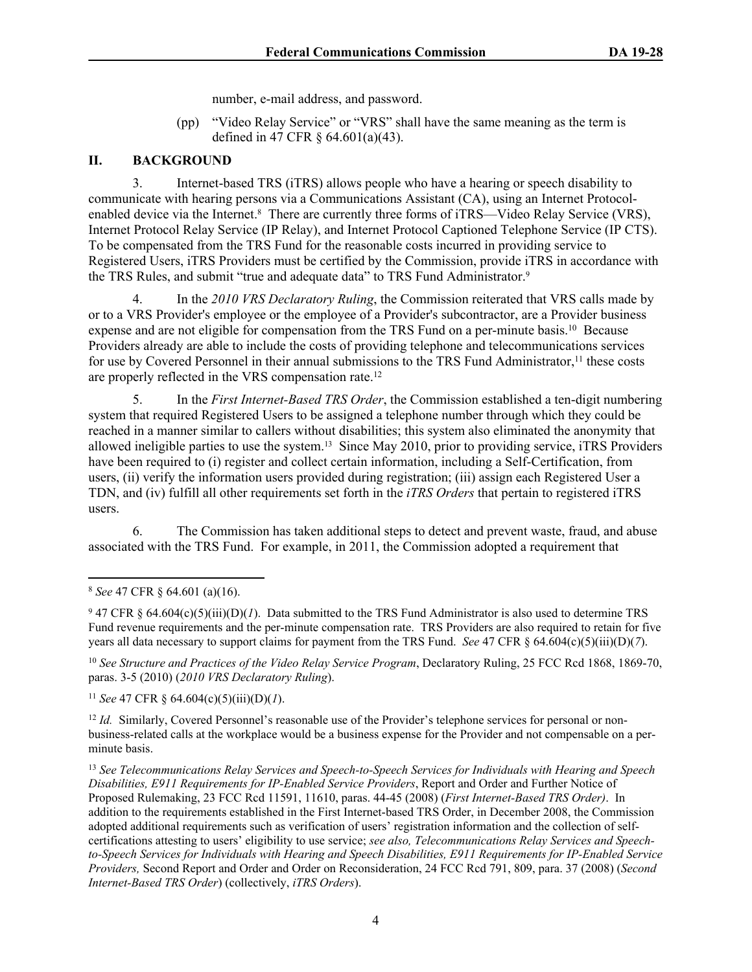number, e-mail address, and password.

(pp) "Video Relay Service" or "VRS" shall have the same meaning as the term is defined in 47 CFR § 64.601(a)(43).

# **II. BACKGROUND**

3. Internet-based TRS (iTRS) allows people who have a hearing or speech disability to communicate with hearing persons via a Communications Assistant (CA), using an Internet Protocolenabled device via the Internet.<sup>8</sup> There are currently three forms of iTRS—Video Relay Service (VRS), Internet Protocol Relay Service (IP Relay), and Internet Protocol Captioned Telephone Service (IP CTS). To be compensated from the TRS Fund for the reasonable costs incurred in providing service to Registered Users, iTRS Providers must be certified by the Commission, provide iTRS in accordance with the TRS Rules, and submit "true and adequate data" to TRS Fund Administrator.<sup>9</sup>

4. In the *2010 VRS Declaratory Ruling*, the Commission reiterated that VRS calls made by or to a VRS Provider's employee or the employee of a Provider's subcontractor, are a Provider business expense and are not eligible for compensation from the TRS Fund on a per-minute basis.<sup>10</sup> Because Providers already are able to include the costs of providing telephone and telecommunications services for use by Covered Personnel in their annual submissions to the TRS Fund Administrator,<sup>11</sup> these costs are properly reflected in the VRS compensation rate.<sup>12</sup>

5. In the *First Internet-Based TRS Order*, the Commission established a ten-digit numbering system that required Registered Users to be assigned a telephone number through which they could be reached in a manner similar to callers without disabilities; this system also eliminated the anonymity that allowed ineligible parties to use the system.13 Since May 2010, prior to providing service, iTRS Providers have been required to (i) register and collect certain information, including a Self-Certification, from users, (ii) verify the information users provided during registration; (iii) assign each Registered User a TDN, and (iv) fulfill all other requirements set forth in the *iTRS Orders* that pertain to registered iTRS users.

6. The Commission has taken additional steps to detect and prevent waste, fraud, and abuse associated with the TRS Fund. For example, in 2011, the Commission adopted a requirement that

<sup>10</sup> *See Structure and Practices of the Video Relay Service Program*, Declaratory Ruling, 25 FCC Rcd 1868, 1869-70, paras. 3-5 (2010) (*2010 VRS Declaratory Ruling*).

<sup>11</sup> *See* 47 CFR  $\frac{6}{9}$  64.604(c)(5)(iii)(D)(*l*).

<sup>12</sup> *Id.* Similarly, Covered Personnel's reasonable use of the Provider's telephone services for personal or nonbusiness-related calls at the workplace would be a business expense for the Provider and not compensable on a perminute basis.

<sup>13</sup> *See Telecommunications Relay Services and Speech-to-Speech Services for Individuals with Hearing and Speech Disabilities, E911 Requirements for IP-Enabled Service Providers*, Report and Order and Further Notice of Proposed Rulemaking, 23 FCC Rcd 11591, 11610, paras. 44-45 (2008) (*First Internet-Based TRS Order)*. In addition to the requirements established in the First Internet-based TRS Order, in December 2008, the Commission adopted additional requirements such as verification of users' registration information and the collection of selfcertifications attesting to users' eligibility to use service; *see also, Telecommunications Relay Services and Speechto-Speech Services for Individuals with Hearing and Speech Disabilities, E911 Requirements for IP-Enabled Service Providers,* Second Report and Order and Order on Reconsideration, 24 FCC Rcd 791, 809, para. 37 (2008) (*Second Internet-Based TRS Order*) (collectively, *iTRS Orders*).

<sup>8</sup> *See* 47 CFR § 64.601 (a)(16).

 $947$  CFR § 64.604(c)(5)(iii)(D)(*1*). Data submitted to the TRS Fund Administrator is also used to determine TRS Fund revenue requirements and the per-minute compensation rate. TRS Providers are also required to retain for five years all data necessary to support claims for payment from the TRS Fund. *See* 47 CFR § 64.604(c)(5)(iii)(D)(*7*).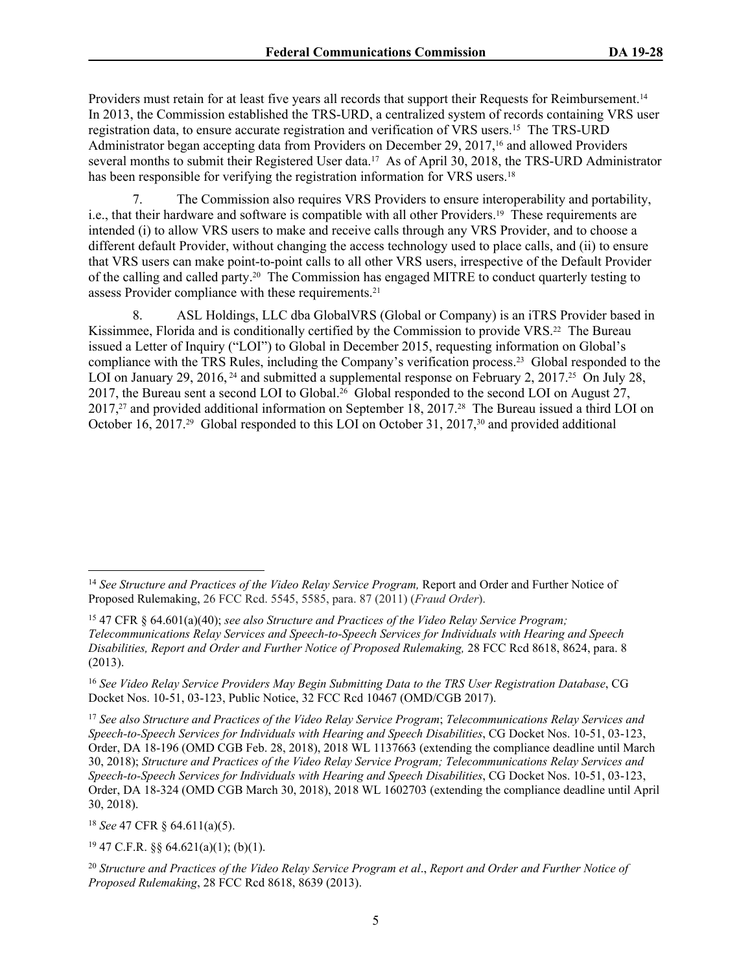Providers must retain for at least five years all records that support their Requests for Reimbursement.<sup>14</sup> In 2013, the Commission established the TRS-URD, a centralized system of records containing VRS user registration data, to ensure accurate registration and verification of VRS users.<sup>15</sup> The TRS-URD Administrator began accepting data from Providers on December 29, 2017,16 and allowed Providers several months to submit their Registered User data.<sup>17</sup> As of April 30, 2018, the TRS-URD Administrator has been responsible for verifying the registration information for VRS users.<sup>18</sup>

7. The Commission also requires VRS Providers to ensure interoperability and portability, i.e., that their hardware and software is compatible with all other Providers.19 These requirements are intended (i) to allow VRS users to make and receive calls through any VRS Provider, and to choose a different default Provider, without changing the access technology used to place calls, and (ii) to ensure that VRS users can make point-to-point calls to all other VRS users, irrespective of the Default Provider of the calling and called party.20 The Commission has engaged MITRE to conduct quarterly testing to assess Provider compliance with these requirements.<sup>21</sup>

8. ASL Holdings, LLC dba GlobalVRS (Global or Company) is an iTRS Provider based in Kissimmee, Florida and is conditionally certified by the Commission to provide VRS.<sup>22</sup> The Bureau issued a Letter of Inquiry ("LOI") to Global in December 2015, requesting information on Global's compliance with the TRS Rules, including the Company's verification process.23 Global responded to the LOI on January 29, 2016, <sup>24</sup> and submitted a supplemental response on February 2, 2017.<sup>25</sup> On July 28, 2017, the Bureau sent a second LOI to Global.26 Global responded to the second LOI on August 27, 2017,27 and provided additional information on September 18, 2017.28 The Bureau issued a third LOI on October 16, 2017.<sup>29</sup> Global responded to this LOI on October 31, 2017,<sup>30</sup> and provided additional

<sup>18</sup> *See* 47 CFR § 64.611(a)(5).

 $19$  47 C.F.R. §§ 64.621(a)(1); (b)(1).

<sup>&</sup>lt;sup>14</sup> See Structure and Practices of the Video Relay Service Program, Report and Order and Further Notice of Proposed Rulemaking, 26 FCC Rcd. 5545, 5585, para. 87 (2011) (*Fraud Order*).

<sup>15</sup> 47 CFR § 64.601(a)(40); *see also Structure and Practices of the Video Relay Service Program; Telecommunications Relay Services and Speech-to-Speech Services for Individuals with Hearing and Speech Disabilities, Report and Order and Further Notice of Proposed Rulemaking,* 28 FCC Rcd 8618, 8624, para. 8 (2013).

<sup>16</sup> *See Video Relay Service Providers May Begin Submitting Data to the TRS User Registration Database*, CG Docket Nos. 10-51, 03-123, Public Notice, 32 FCC Rcd 10467 (OMD/CGB 2017).

<sup>17</sup> *See also Structure and Practices of the Video Relay Service Program*; *Telecommunications Relay Services and Speech-to-Speech Services for Individuals with Hearing and Speech Disabilities*, CG Docket Nos. 10-51, 03-123, Order, DA 18-196 (OMD CGB Feb. 28, 2018), 2018 WL 1137663 (extending the compliance deadline until March 30, 2018); *Structure and Practices of the Video Relay Service Program; Telecommunications Relay Services and Speech-to-Speech Services for Individuals with Hearing and Speech Disabilities*, CG Docket Nos. 10-51, 03-123, Order, DA 18-324 (OMD CGB March 30, 2018), 2018 WL 1602703 (extending the compliance deadline until April 30, 2018).

<sup>20</sup> *Structure and Practices of the Video Relay Service Program et al*., *Report and Order and Further Notice of Proposed Rulemaking*, 28 FCC Rcd 8618, 8639 (2013).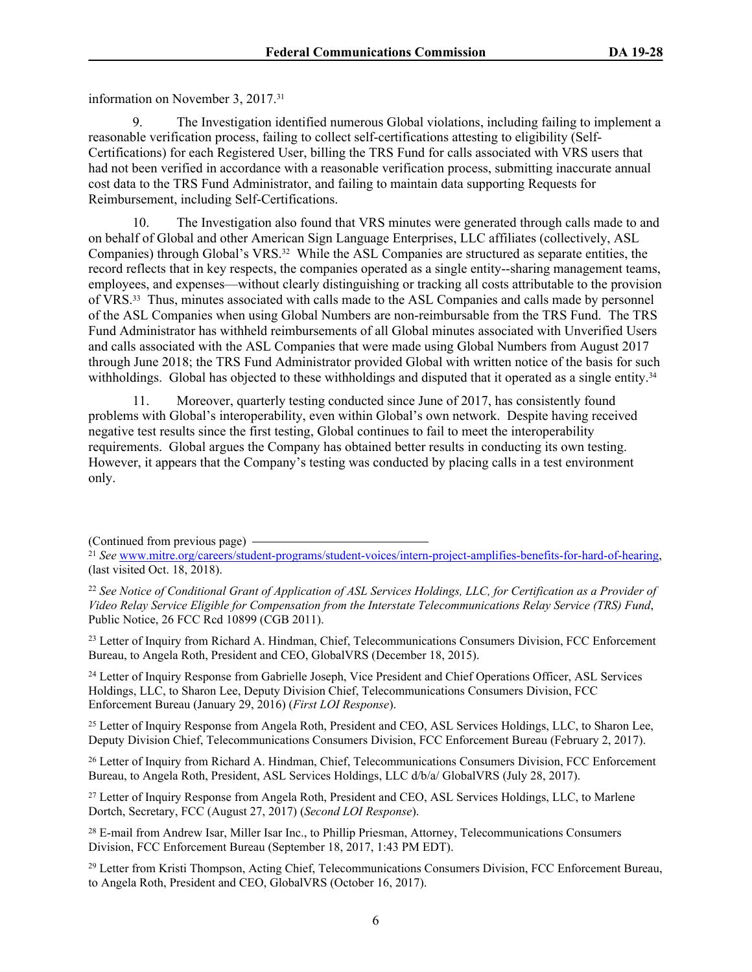information on November 3, 2017.<sup>31</sup>

9. The Investigation identified numerous Global violations, including failing to implement a reasonable verification process, failing to collect self-certifications attesting to eligibility (Self-Certifications) for each Registered User, billing the TRS Fund for calls associated with VRS users that had not been verified in accordance with a reasonable verification process, submitting inaccurate annual cost data to the TRS Fund Administrator, and failing to maintain data supporting Requests for Reimbursement, including Self-Certifications.

10. The Investigation also found that VRS minutes were generated through calls made to and on behalf of Global and other American Sign Language Enterprises, LLC affiliates (collectively, ASL Companies) through Global's VRS.32 While the ASL Companies are structured as separate entities, the record reflects that in key respects, the companies operated as a single entity--sharing management teams, employees, and expenses—without clearly distinguishing or tracking all costs attributable to the provision of VRS.33 Thus, minutes associated with calls made to the ASL Companies and calls made by personnel of the ASL Companies when using Global Numbers are non-reimbursable from the TRS Fund. The TRS Fund Administrator has withheld reimbursements of all Global minutes associated with Unverified Users and calls associated with the ASL Companies that were made using Global Numbers from August 2017 through June 2018; the TRS Fund Administrator provided Global with written notice of the basis for such withholdings. Global has objected to these withholdings and disputed that it operated as a single entity.<sup>34</sup>

11. Moreover, quarterly testing conducted since June of 2017, has consistently found problems with Global's interoperability, even within Global's own network. Despite having received negative test results since the first testing, Global continues to fail to meet the interoperability requirements. Global argues the Company has obtained better results in conducting its own testing. However, it appears that the Company's testing was conducted by placing calls in a test environment only.

(Continued from previous page)

<sup>23</sup> Letter of Inquiry from Richard A. Hindman, Chief, Telecommunications Consumers Division, FCC Enforcement Bureau, to Angela Roth, President and CEO, GlobalVRS (December 18, 2015).

<sup>24</sup> Letter of Inquiry Response from Gabrielle Joseph, Vice President and Chief Operations Officer, ASL Services Holdings, LLC, to Sharon Lee, Deputy Division Chief, Telecommunications Consumers Division, FCC Enforcement Bureau (January 29, 2016) (*First LOI Response*).

<sup>25</sup> Letter of Inquiry Response from Angela Roth, President and CEO, ASL Services Holdings, LLC, to Sharon Lee, Deputy Division Chief, Telecommunications Consumers Division, FCC Enforcement Bureau (February 2, 2017).

<sup>26</sup> Letter of Inquiry from Richard A. Hindman, Chief, Telecommunications Consumers Division, FCC Enforcement Bureau, to Angela Roth, President, ASL Services Holdings, LLC d/b/a/ GlobalVRS (July 28, 2017).

<sup>27</sup> Letter of Inquiry Response from Angela Roth, President and CEO, ASL Services Holdings, LLC, to Marlene Dortch, Secretary, FCC (August 27, 2017) (*Second LOI Response*).

<sup>28</sup> E-mail from Andrew Isar, Miller Isar Inc., to Phillip Priesman, Attorney, Telecommunications Consumers Division, FCC Enforcement Bureau (September 18, 2017, 1:43 PM EDT).

<sup>29</sup> Letter from Kristi Thompson, Acting Chief, Telecommunications Consumers Division, FCC Enforcement Bureau, to Angela Roth, President and CEO, GlobalVRS (October 16, 2017).

<sup>21</sup> *See* [www.mitre.org/careers/student-programs/student-voices/intern-project-amplifies-benefits-for-hard-of-hearing,](http://www.mitre.org/careers/student-programs/student-voices/intern-project-amplifies-benefits-for-hard-of-hearing) (last visited Oct. 18, 2018).

<sup>22</sup> *See Notice of Conditional Grant of Application of ASL Services Holdings, LLC, for Certification as a Provider of Video Relay Service Eligible for Compensation from the Interstate Telecommunications Relay Service (TRS) Fund*, Public Notice, 26 FCC Rcd 10899 (CGB 2011).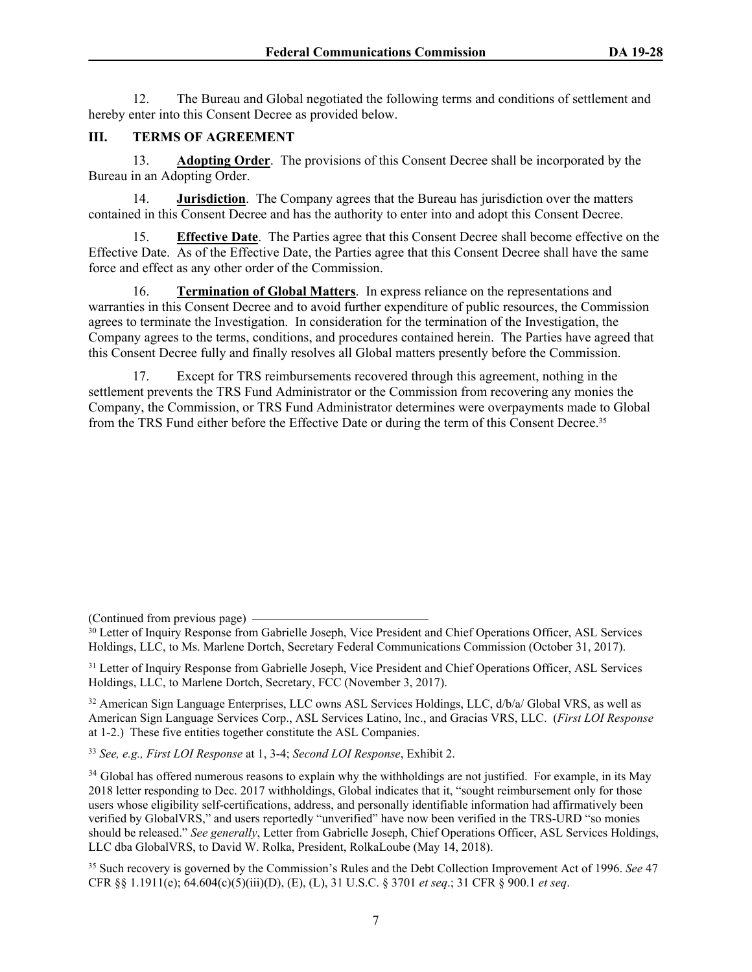12. The Bureau and Global negotiated the following terms and conditions of settlement and hereby enter into this Consent Decree as provided below.

### **III. TERMS OF AGREEMENT**

13. **Adopting Order**. The provisions of this Consent Decree shall be incorporated by the Bureau in an Adopting Order.

14. **Jurisdiction**. The Company agrees that the Bureau has jurisdiction over the matters contained in this Consent Decree and has the authority to enter into and adopt this Consent Decree.

15. **Effective Date**. The Parties agree that this Consent Decree shall become effective on the Effective Date. As of the Effective Date, the Parties agree that this Consent Decree shall have the same force and effect as any other order of the Commission.

16. **Termination of Global Matters**. In express reliance on the representations and warranties in this Consent Decree and to avoid further expenditure of public resources, the Commission agrees to terminate the Investigation. In consideration for the termination of the Investigation, the Company agrees to the terms, conditions, and procedures contained herein. The Parties have agreed that this Consent Decree fully and finally resolves all Global matters presently before the Commission.

17. Except for TRS reimbursements recovered through this agreement, nothing in the settlement prevents the TRS Fund Administrator or the Commission from recovering any monies the Company, the Commission, or TRS Fund Administrator determines were overpayments made to Global from the TRS Fund either before the Effective Date or during the term of this Consent Decree.<sup>35</sup>

(Continued from previous page)

<sup>30</sup> Letter of Inquiry Response from Gabrielle Joseph, Vice President and Chief Operations Officer, ASL Services Holdings, LLC, to Ms. Marlene Dortch, Secretary Federal Communications Commission (October 31, 2017).

<sup>31</sup> Letter of Inquiry Response from Gabrielle Joseph, Vice President and Chief Operations Officer, ASL Services Holdings, LLC, to Marlene Dortch, Secretary, FCC (November 3, 2017).

<sup>32</sup> American Sign Language Enterprises, LLC owns ASL Services Holdings, LLC, d/b/a/ Global VRS, as well as American Sign Language Services Corp., ASL Services Latino, Inc., and Gracias VRS, LLC. (*First LOI Response* at 1-2.) These five entities together constitute the ASL Companies.

<sup>33</sup> *See, e.g., First LOI Response* at 1, 3-4; *Second LOI Response*, Exhibit 2.

<sup>34</sup> Global has offered numerous reasons to explain why the withholdings are not justified. For example, in its May 2018 letter responding to Dec. 2017 withholdings, Global indicates that it, "sought reimbursement only for those users whose eligibility self-certifications, address, and personally identifiable information had affirmatively been verified by GlobalVRS," and users reportedly "unverified" have now been verified in the TRS-URD "so monies should be released." *See generally*, Letter from Gabrielle Joseph, Chief Operations Officer, ASL Services Holdings, LLC dba GlobalVRS, to David W. Rolka, President, RolkaLoube (May 14, 2018).

<sup>35</sup> Such recovery is governed by the Commission's Rules and the Debt Collection Improvement Act of 1996. *See* 47 CFR §§ 1.1911(e); 64.604(c)(5)(iii)(D), (E), (L), 31 U.S.C. § 3701 *et seq*.; 31 CFR § 900.1 *et seq*.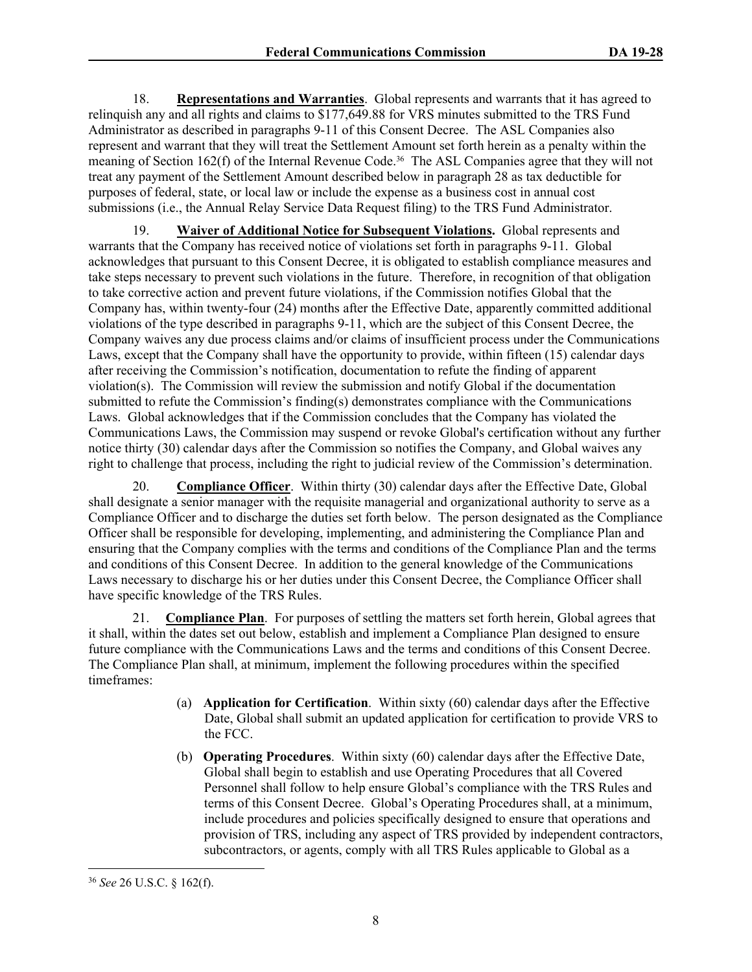18. **Representations and Warranties**. Global represents and warrants that it has agreed to relinquish any and all rights and claims to \$177,649.88 for VRS minutes submitted to the TRS Fund Administrator as described in paragraphs 9-11 of this Consent Decree. The ASL Companies also represent and warrant that they will treat the Settlement Amount set forth herein as a penalty within the meaning of Section 162(f) of the Internal Revenue Code.36 The ASL Companies agree that they will not treat any payment of the Settlement Amount described below in paragraph 28 as tax deductible for purposes of federal, state, or local law or include the expense as a business cost in annual cost submissions (i.e., the Annual Relay Service Data Request filing) to the TRS Fund Administrator.

19. **Waiver of Additional Notice for Subsequent Violations.** Global represents and warrants that the Company has received notice of violations set forth in paragraphs 9-11. Global acknowledges that pursuant to this Consent Decree, it is obligated to establish compliance measures and take steps necessary to prevent such violations in the future. Therefore, in recognition of that obligation to take corrective action and prevent future violations, if the Commission notifies Global that the Company has, within twenty-four (24) months after the Effective Date, apparently committed additional violations of the type described in paragraphs 9-11, which are the subject of this Consent Decree, the Company waives any due process claims and/or claims of insufficient process under the Communications Laws, except that the Company shall have the opportunity to provide, within fifteen (15) calendar days after receiving the Commission's notification, documentation to refute the finding of apparent violation(s). The Commission will review the submission and notify Global if the documentation submitted to refute the Commission's finding(s) demonstrates compliance with the Communications Laws. Global acknowledges that if the Commission concludes that the Company has violated the Communications Laws, the Commission may suspend or revoke Global's certification without any further notice thirty (30) calendar days after the Commission so notifies the Company, and Global waives any right to challenge that process, including the right to judicial review of the Commission's determination.

20. **Compliance Officer**. Within thirty (30) calendar days after the Effective Date, Global shall designate a senior manager with the requisite managerial and organizational authority to serve as a Compliance Officer and to discharge the duties set forth below. The person designated as the Compliance Officer shall be responsible for developing, implementing, and administering the Compliance Plan and ensuring that the Company complies with the terms and conditions of the Compliance Plan and the terms and conditions of this Consent Decree. In addition to the general knowledge of the Communications Laws necessary to discharge his or her duties under this Consent Decree, the Compliance Officer shall have specific knowledge of the TRS Rules.

21. **Compliance Plan**. For purposes of settling the matters set forth herein, Global agrees that it shall, within the dates set out below, establish and implement a Compliance Plan designed to ensure future compliance with the Communications Laws and the terms and conditions of this Consent Decree. The Compliance Plan shall, at minimum, implement the following procedures within the specified timeframes:

- (a) **Application for Certification**. Within sixty (60) calendar days after the Effective Date, Global shall submit an updated application for certification to provide VRS to the FCC.
- (b) **Operating Procedures**. Within sixty (60) calendar days after the Effective Date, Global shall begin to establish and use Operating Procedures that all Covered Personnel shall follow to help ensure Global's compliance with the TRS Rules and terms of this Consent Decree. Global's Operating Procedures shall, at a minimum, include procedures and policies specifically designed to ensure that operations and provision of TRS, including any aspect of TRS provided by independent contractors, subcontractors, or agents, comply with all TRS Rules applicable to Global as a

<sup>36</sup> *See* 26 U.S.C. § 162(f).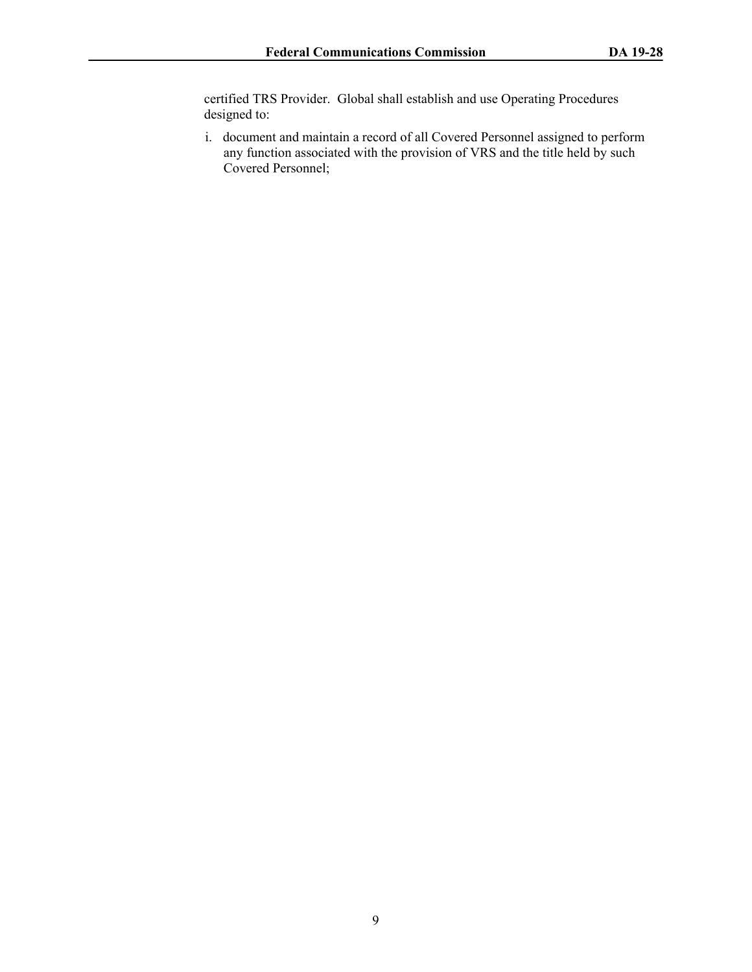certified TRS Provider. Global shall establish and use Operating Procedures designed to:

i. document and maintain a record of all Covered Personnel assigned to perform any function associated with the provision of VRS and the title held by such Covered Personnel;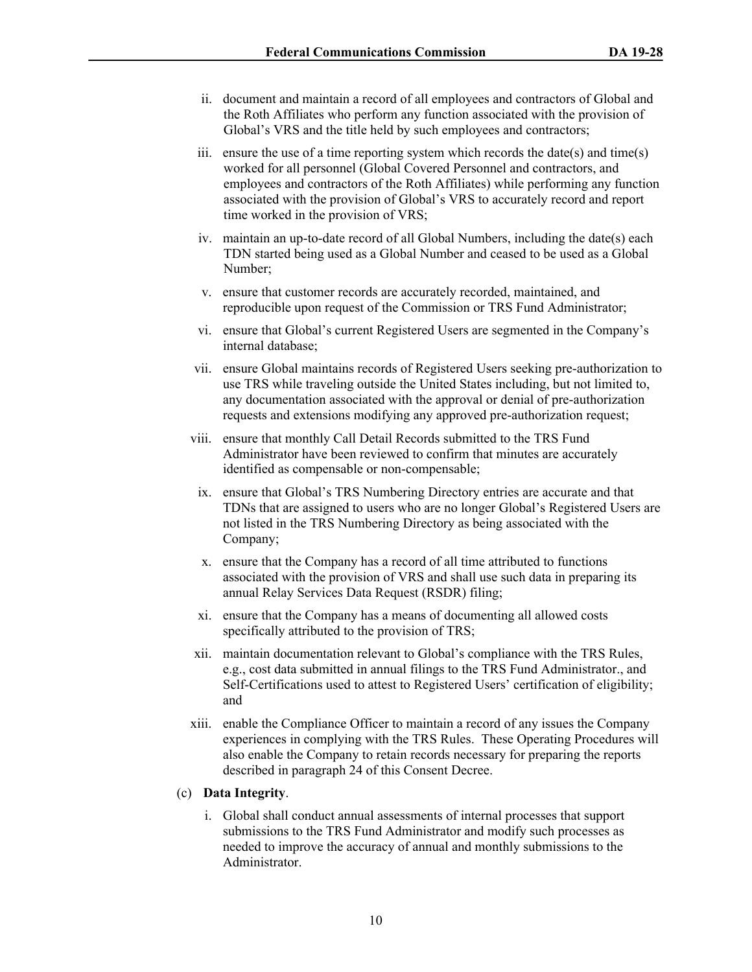- ii. document and maintain a record of all employees and contractors of Global and the Roth Affiliates who perform any function associated with the provision of Global's VRS and the title held by such employees and contractors;
- iii. ensure the use of a time reporting system which records the date(s) and time(s) worked for all personnel (Global Covered Personnel and contractors, and employees and contractors of the Roth Affiliates) while performing any function associated with the provision of Global's VRS to accurately record and report time worked in the provision of VRS;
- iv. maintain an up-to-date record of all Global Numbers, including the date(s) each TDN started being used as a Global Number and ceased to be used as a Global Number;
- v. ensure that customer records are accurately recorded, maintained, and reproducible upon request of the Commission or TRS Fund Administrator;
- vi. ensure that Global's current Registered Users are segmented in the Company's internal database;
- vii. ensure Global maintains records of Registered Users seeking pre-authorization to use TRS while traveling outside the United States including, but not limited to, any documentation associated with the approval or denial of pre-authorization requests and extensions modifying any approved pre-authorization request;
- viii. ensure that monthly Call Detail Records submitted to the TRS Fund Administrator have been reviewed to confirm that minutes are accurately identified as compensable or non-compensable;
- ix. ensure that Global's TRS Numbering Directory entries are accurate and that TDNs that are assigned to users who are no longer Global's Registered Users are not listed in the TRS Numbering Directory as being associated with the Company;
- x. ensure that the Company has a record of all time attributed to functions associated with the provision of VRS and shall use such data in preparing its annual Relay Services Data Request (RSDR) filing;
- xi. ensure that the Company has a means of documenting all allowed costs specifically attributed to the provision of TRS;
- xii. maintain documentation relevant to Global's compliance with the TRS Rules, e.g., cost data submitted in annual filings to the TRS Fund Administrator., and Self-Certifications used to attest to Registered Users' certification of eligibility; and
- xiii. enable the Compliance Officer to maintain a record of any issues the Company experiences in complying with the TRS Rules. These Operating Procedures will also enable the Company to retain records necessary for preparing the reports described in paragraph [24](#page-14-0) of this Consent Decree.

### (c) **Data Integrity**.

i. Global shall conduct annual assessments of internal processes that support submissions to the TRS Fund Administrator and modify such processes as needed to improve the accuracy of annual and monthly submissions to the Administrator.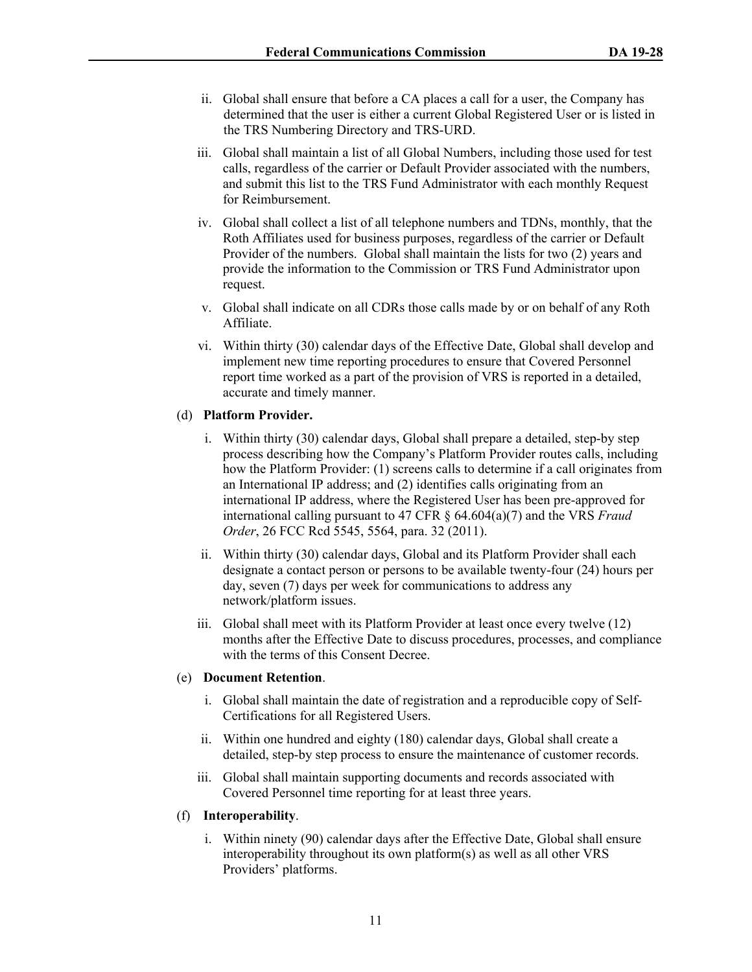- ii. Global shall ensure that before a CA places a call for a user, the Company has determined that the user is either a current Global Registered User or is listed in the TRS Numbering Directory and TRS-URD.
- iii. Global shall maintain a list of all Global Numbers, including those used for test calls, regardless of the carrier or Default Provider associated with the numbers, and submit this list to the TRS Fund Administrator with each monthly Request for Reimbursement.
- iv. Global shall collect a list of all telephone numbers and TDNs, monthly, that the Roth Affiliates used for business purposes, regardless of the carrier or Default Provider of the numbers. Global shall maintain the lists for two (2) years and provide the information to the Commission or TRS Fund Administrator upon request.
- v. Global shall indicate on all CDRs those calls made by or on behalf of any Roth Affiliate.
- vi. Within thirty (30) calendar days of the Effective Date, Global shall develop and implement new time reporting procedures to ensure that Covered Personnel report time worked as a part of the provision of VRS is reported in a detailed, accurate and timely manner.

## (d) **Platform Provider.**

- i. Within thirty (30) calendar days, Global shall prepare a detailed, step-by step process describing how the Company's Platform Provider routes calls, including how the Platform Provider: (1) screens calls to determine if a call originates from an International IP address; and (2) identifies calls originating from an international IP address, where the Registered User has been pre-approved for international calling pursuant to 47 CFR § 64.604(a)(7) and the VRS *Fraud Order*, 26 FCC Rcd 5545, 5564, para. 32 (2011).
- ii. Within thirty (30) calendar days, Global and its Platform Provider shall each designate a contact person or persons to be available twenty-four (24) hours per day, seven (7) days per week for communications to address any network/platform issues.
- iii. Global shall meet with its Platform Provider at least once every twelve (12) months after the Effective Date to discuss procedures, processes, and compliance with the terms of this Consent Decree.

## (e) **Document Retention**.

- i. Global shall maintain the date of registration and a reproducible copy of Self-Certifications for all Registered Users.
- ii. Within one hundred and eighty (180) calendar days, Global shall create a detailed, step-by step process to ensure the maintenance of customer records.
- iii. Global shall maintain supporting documents and records associated with Covered Personnel time reporting for at least three years.

## (f) **Interoperability**.

i. Within ninety (90) calendar days after the Effective Date, Global shall ensure interoperability throughout its own platform(s) as well as all other VRS Providers' platforms.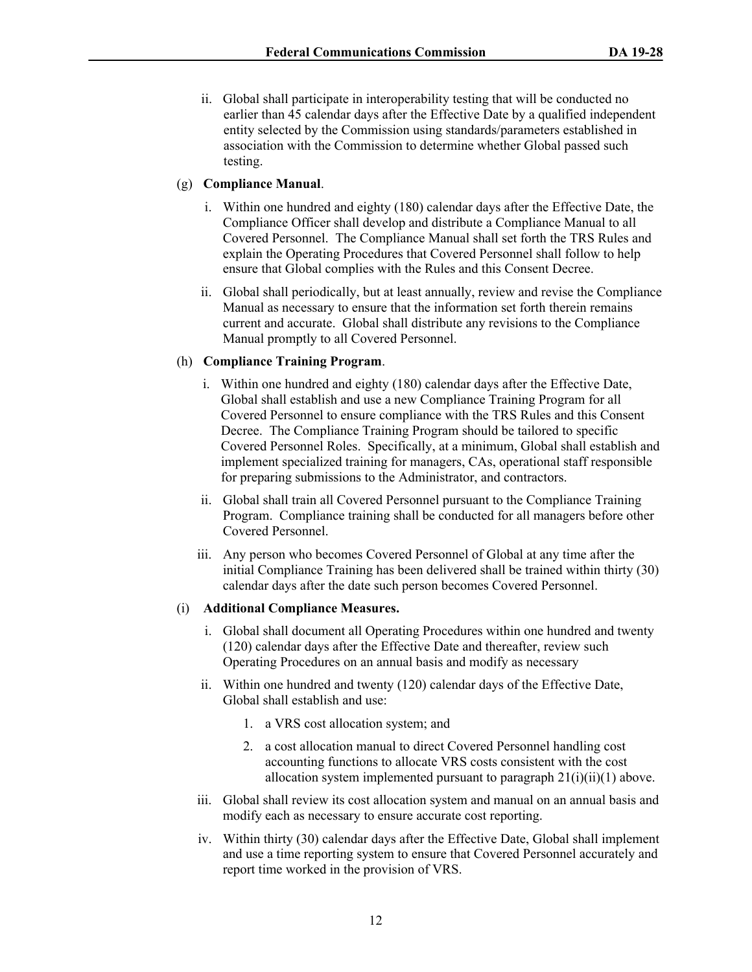ii. Global shall participate in interoperability testing that will be conducted no earlier than 45 calendar days after the Effective Date by a qualified independent entity selected by the Commission using standards/parameters established in association with the Commission to determine whether Global passed such testing.

## (g) **Compliance Manual**.

- i. Within one hundred and eighty (180) calendar days after the Effective Date, the Compliance Officer shall develop and distribute a Compliance Manual to all Covered Personnel. The Compliance Manual shall set forth the TRS Rules and explain the Operating Procedures that Covered Personnel shall follow to help ensure that Global complies with the Rules and this Consent Decree.
- ii. Global shall periodically, but at least annually, review and revise the Compliance Manual as necessary to ensure that the information set forth therein remains current and accurate. Global shall distribute any revisions to the Compliance Manual promptly to all Covered Personnel.

## (h) **Compliance Training Program**.

- i. Within one hundred and eighty (180) calendar days after the Effective Date, Global shall establish and use a new Compliance Training Program for all Covered Personnel to ensure compliance with the TRS Rules and this Consent Decree. The Compliance Training Program should be tailored to specific Covered Personnel Roles. Specifically, at a minimum, Global shall establish and implement specialized training for managers, CAs, operational staff responsible for preparing submissions to the Administrator, and contractors.
- ii. Global shall train all Covered Personnel pursuant to the Compliance Training Program. Compliance training shall be conducted for all managers before other Covered Personnel.
- iii. Any person who becomes Covered Personnel of Global at any time after the initial Compliance Training has been delivered shall be trained within thirty (30) calendar days after the date such person becomes Covered Personnel.

## (i) **Additional Compliance Measures.**

- <span id="page-13-0"></span>i. Global shall document all Operating Procedures within one hundred and twenty (120) calendar days after the Effective Date and thereafter, review such Operating Procedures on an annual basis and modify as necessary
- <span id="page-13-1"></span>ii. Within one hundred and twenty (120) calendar days of the Effective Date, Global shall establish and use:
	- 1. a VRS cost allocation system; and
	- 2. a cost allocation manual to direct Covered Personnel handling cost accounting functions to allocate VRS costs consistent with the cost allocation system implemented pursuant to paragraph  $21(i)(ii)(1)$  $21(i)(ii)(1)$  $21(i)(ii)(1)$  $21(i)(ii)(1)$  $21(i)(ii)(1)$  above.
- iii. Global shall review its cost allocation system and manual on an annual basis and modify each as necessary to ensure accurate cost reporting.
- iv. Within thirty (30) calendar days after the Effective Date, Global shall implement and use a time reporting system to ensure that Covered Personnel accurately and report time worked in the provision of VRS.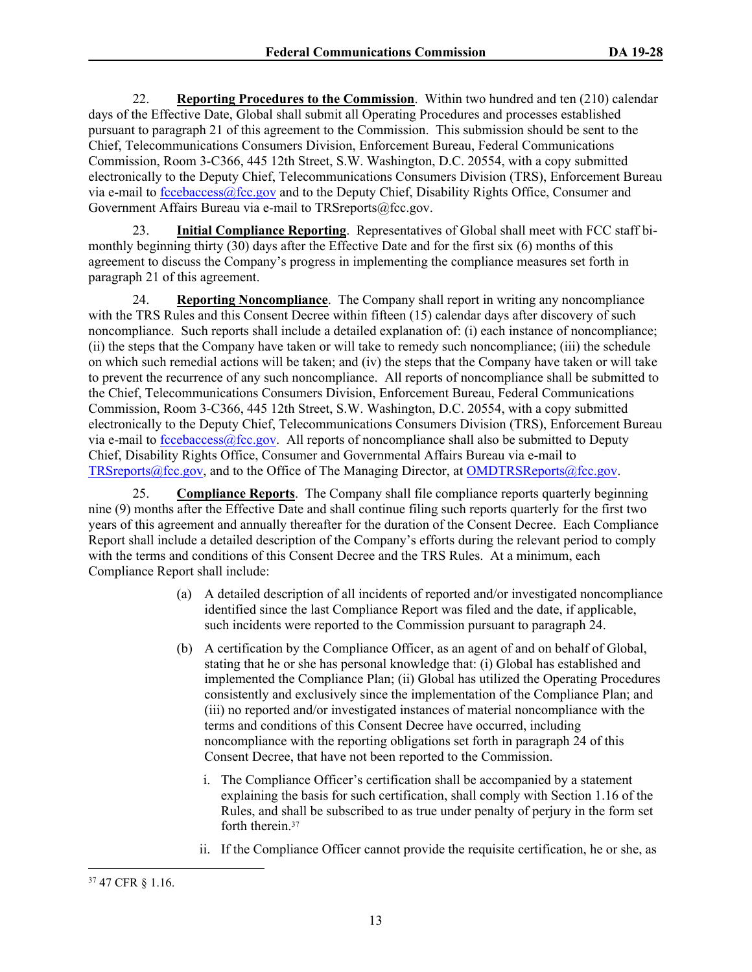22. **Reporting Procedures to the Commission**. Within two hundred and ten (210) calendar days of the Effective Date, Global shall submit all Operating Procedures and processes established pursuant to paragraph 21 of this agreement to the Commission. This submission should be sent to the Chief, Telecommunications Consumers Division, Enforcement Bureau, Federal Communications Commission, Room 3-C366, 445 12th Street, S.W. Washington, D.C. 20554, with a copy submitted electronically to the Deputy Chief, Telecommunications Consumers Division (TRS), Enforcement Bureau via e-mail to [fccebaccess@fcc.gov](mailto:fccebaccess@fcc.gov) and to the Deputy Chief, Disability Rights Office, Consumer and Government Affairs Bureau via e-mail to TRSreports@fcc.gov.

23. **Initial Compliance Reporting**.Representatives of Global shall meet with FCC staff bimonthly beginning thirty (30) days after the Effective Date and for the first six (6) months of this agreement to discuss the Company's progress in implementing the compliance measures set forth in paragraph 21 of this agreement.

<span id="page-14-0"></span>24. **Reporting Noncompliance**. The Company shall report in writing any noncompliance with the TRS Rules and this Consent Decree within fifteen (15) calendar days after discovery of such noncompliance. Such reports shall include a detailed explanation of: (i) each instance of noncompliance; (ii) the steps that the Company have taken or will take to remedy such noncompliance; (iii) the schedule on which such remedial actions will be taken; and (iv) the steps that the Company have taken or will take to prevent the recurrence of any such noncompliance. All reports of noncompliance shall be submitted to the Chief, Telecommunications Consumers Division, Enforcement Bureau, Federal Communications Commission, Room 3-C366, 445 12th Street, S.W. Washington, D.C. 20554, with a copy submitted electronically to the Deputy Chief, Telecommunications Consumers Division (TRS), Enforcement Bureau via e-mail to [fccebaccess@fcc.gov](mailto:fccebaccess@fcc.gov). All reports of noncompliance shall also be submitted to Deputy Chief, Disability Rights Office, Consumer and Governmental Affairs Bureau via e-mail to [TRSreports@fcc.gov,](mailto:TRSreports@fcc.gov) and to the Office of The Managing Director, at [OMDTRSReports@fcc.gov.](mailto:Andrew.Mulitz@fcc.gov)

25. **Compliance Reports**. The Company shall file compliance reports quarterly beginning nine (9) months after the Effective Date and shall continue filing such reports quarterly for the first two years of this agreement and annually thereafter for the duration of the Consent Decree. Each Compliance Report shall include a detailed description of the Company's efforts during the relevant period to comply with the terms and conditions of this Consent Decree and the TRS Rules. At a minimum, each Compliance Report shall include:

- (a) A detailed description of all incidents of reported and/or investigated noncompliance identified since the last Compliance Report was filed and the date, if applicable, such incidents were reported to the Commission pursuant to paragraph [24.](#page-14-0)
- (b) A certification by the Compliance Officer, as an agent of and on behalf of Global, stating that he or she has personal knowledge that: (i) Global has established and implemented the Compliance Plan; (ii) Global has utilized the Operating Procedures consistently and exclusively since the implementation of the Compliance Plan; and (iii) no reported and/or investigated instances of material noncompliance with the terms and conditions of this Consent Decree have occurred, including noncompliance with the reporting obligations set forth in paragraph 24 of this Consent Decree, that have not been reported to the Commission.
	- i. The Compliance Officer's certification shall be accompanied by a statement explaining the basis for such certification, shall comply with Section 1.16 of the Rules, and shall be subscribed to as true under penalty of perjury in the form set forth therein.<sup>37</sup>
	- ii. If the Compliance Officer cannot provide the requisite certification, he or she, as

<sup>37</sup> 47 CFR § 1.16.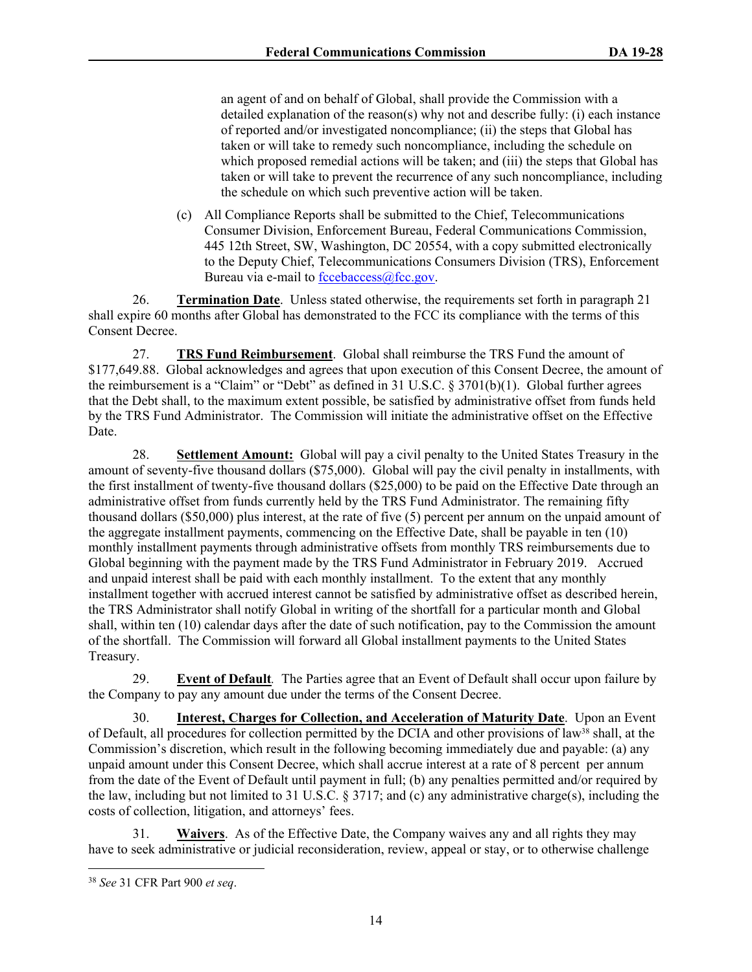an agent of and on behalf of Global, shall provide the Commission with a detailed explanation of the reason(s) why not and describe fully: (i) each instance of reported and/or investigated noncompliance; (ii) the steps that Global has taken or will take to remedy such noncompliance, including the schedule on which proposed remedial actions will be taken; and (iii) the steps that Global has taken or will take to prevent the recurrence of any such noncompliance, including the schedule on which such preventive action will be taken.

(c) All Compliance Reports shall be submitted to the Chief, Telecommunications Consumer Division, Enforcement Bureau, Federal Communications Commission, 445 12th Street, SW, Washington, DC 20554, with a copy submitted electronically to the Deputy Chief, Telecommunications Consumers Division (TRS), Enforcement Bureau via e-mail to [fccebaccess@fcc.gov](mailto:fccebaccess@fcc.gov).

26. **Termination Date**. Unless stated otherwise, the requirements set forth in paragraph 21 shall expire 60 months after Global has demonstrated to the FCC its compliance with the terms of this Consent Decree.

27. **TRS Fund Reimbursement**. Global shall reimburse the TRS Fund the amount of \$177,649.88. Global acknowledges and agrees that upon execution of this Consent Decree, the amount of the reimbursement is a "Claim" or "Debt" as defined in 31 U.S.C. § 3701(b)(1). Global further agrees that the Debt shall, to the maximum extent possible, be satisfied by administrative offset from funds held by the TRS Fund Administrator. The Commission will initiate the administrative offset on the Effective Date.

28. **Settlement Amount:** Global will pay a civil penalty to the United States Treasury in the amount of seventy-five thousand dollars (\$75,000). Global will pay the civil penalty in installments, with the first installment of twenty-five thousand dollars (\$25,000) to be paid on the Effective Date through an administrative offset from funds currently held by the TRS Fund Administrator. The remaining fifty thousand dollars (\$50,000) plus interest, at the rate of five (5) percent per annum on the unpaid amount of the aggregate installment payments, commencing on the Effective Date, shall be payable in ten (10) monthly installment payments through administrative offsets from monthly TRS reimbursements due to Global beginning with the payment made by the TRS Fund Administrator in February 2019. Accrued and unpaid interest shall be paid with each monthly installment. To the extent that any monthly installment together with accrued interest cannot be satisfied by administrative offset as described herein, the TRS Administrator shall notify Global in writing of the shortfall for a particular month and Global shall, within ten (10) calendar days after the date of such notification, pay to the Commission the amount of the shortfall. The Commission will forward all Global installment payments to the United States Treasury.

29. **Event of Default***.* The Parties agree that an Event of Default shall occur upon failure by the Company to pay any amount due under the terms of the Consent Decree.

30. **Interest, Charges for Collection, and Acceleration of Maturity Date**. Upon an Event of Default, all procedures for collection permitted by the DCIA and other provisions of law38 shall, at the Commission's discretion, which result in the following becoming immediately due and payable: (a) any unpaid amount under this Consent Decree, which shall accrue interest at a rate of 8 percent per annum from the date of the Event of Default until payment in full; (b) any penalties permitted and/or required by the law, including but not limited to 31 U.S.C. § 3717; and (c) any administrative charge(s), including the costs of collection, litigation, and attorneys' fees.

31. **Waivers**. As of the Effective Date, the Company waives any and all rights they may have to seek administrative or judicial reconsideration, review, appeal or stay, or to otherwise challenge

<sup>38</sup> *See* 31 CFR Part 900 *et seq*.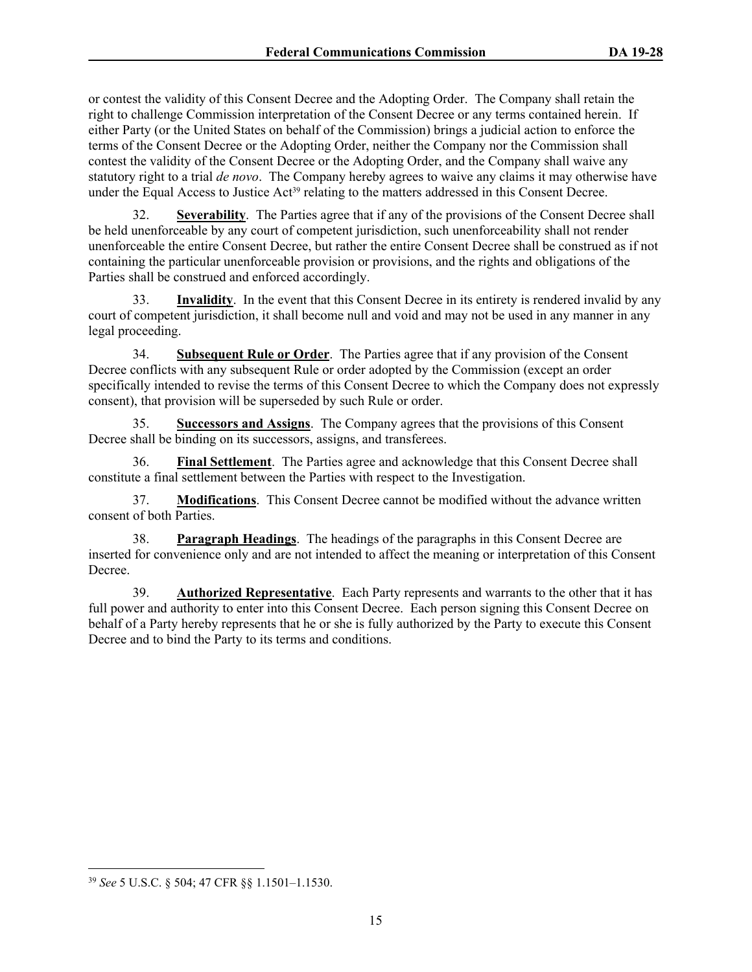or contest the validity of this Consent Decree and the Adopting Order. The Company shall retain the right to challenge Commission interpretation of the Consent Decree or any terms contained herein. If either Party (or the United States on behalf of the Commission) brings a judicial action to enforce the terms of the Consent Decree or the Adopting Order, neither the Company nor the Commission shall contest the validity of the Consent Decree or the Adopting Order, and the Company shall waive any statutory right to a trial *de novo*. The Company hereby agrees to waive any claims it may otherwise have under the Equal Access to Justice Act<sup>39</sup> relating to the matters addressed in this Consent Decree.

32. **Severability**. The Parties agree that if any of the provisions of the Consent Decree shall be held unenforceable by any court of competent jurisdiction, such unenforceability shall not render unenforceable the entire Consent Decree, but rather the entire Consent Decree shall be construed as if not containing the particular unenforceable provision or provisions, and the rights and obligations of the Parties shall be construed and enforced accordingly.

33. **Invalidity**. In the event that this Consent Decree in its entirety is rendered invalid by any court of competent jurisdiction, it shall become null and void and may not be used in any manner in any legal proceeding.

34. **Subsequent Rule or Order**. The Parties agree that if any provision of the Consent Decree conflicts with any subsequent Rule or order adopted by the Commission (except an order specifically intended to revise the terms of this Consent Decree to which the Company does not expressly consent), that provision will be superseded by such Rule or order.

35. **Successors and Assigns**. The Company agrees that the provisions of this Consent Decree shall be binding on its successors, assigns, and transferees.

36. **Final Settlement**. The Parties agree and acknowledge that this Consent Decree shall constitute a final settlement between the Parties with respect to the Investigation.

37. **Modifications**. This Consent Decree cannot be modified without the advance written consent of both Parties.

38. **Paragraph Headings**. The headings of the paragraphs in this Consent Decree are inserted for convenience only and are not intended to affect the meaning or interpretation of this Consent Decree.

39. **Authorized Representative**. Each Party represents and warrants to the other that it has full power and authority to enter into this Consent Decree. Each person signing this Consent Decree on behalf of a Party hereby represents that he or she is fully authorized by the Party to execute this Consent Decree and to bind the Party to its terms and conditions.

<sup>39</sup> *See* 5 U.S.C. § 504; 47 CFR §§ 1.1501–1.1530.